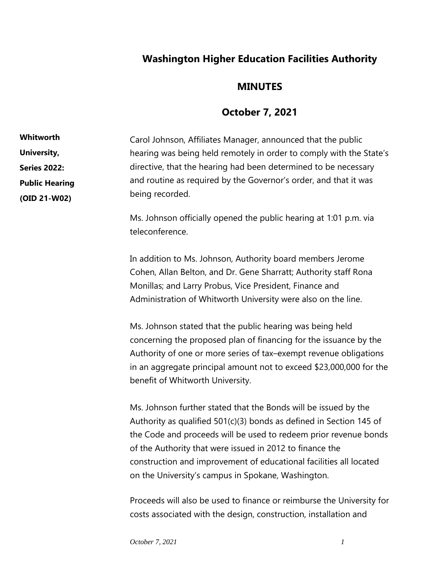## **Washington Higher Education Facilities Authority**

## **MINUTES**

## **October 7, 2021**

Carol Johnson, Affiliates Manager, announced that the public hearing was being held remotely in order to comply with the State's directive, that the hearing had been determined to be necessary and routine as required by the Governor's order, and that it was being recorded. **Whitworth University, Series 2022: Public Hearing (OID 21-W02)**

> Ms. Johnson officially opened the public hearing at 1:01 p.m. via teleconference.

In addition to Ms. Johnson, Authority board members Jerome Cohen, Allan Belton, and Dr. Gene Sharratt; Authority staff Rona Monillas; and Larry Probus, Vice President, Finance and Administration of Whitworth University were also on the line.

Ms. Johnson stated that the public hearing was being held concerning the proposed plan of financing for the issuance by the Authority of one or more series of tax–exempt revenue obligations in an aggregate principal amount not to exceed \$23,000,000 for the benefit of Whitworth University.

Ms. Johnson further stated that the Bonds will be issued by the Authority as qualified 501(c)(3) bonds as defined in Section 145 of the Code and proceeds will be used to redeem prior revenue bonds of the Authority that were issued in 2012 to finance the construction and improvement of educational facilities all located on the University's campus in Spokane, Washington.

Proceeds will also be used to finance or reimburse the University for costs associated with the design, construction, installation and